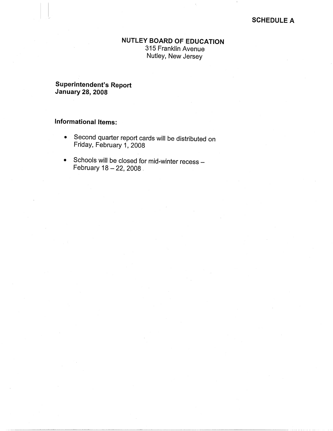#### **SCHEDULE A**

## **NUTLEY BOARD OF EDUCATION**

315 Franklin Avenue Nutley, New Jersey

## **Superintendent's Report January 28, 2008**

# **Informational Items:**

I 1.

- Second quarter report cards will be distributed on Friday, February 1, 2008
- Schools will be closed for mid-winter recess -February  $18 - 22$ ,  $2008$